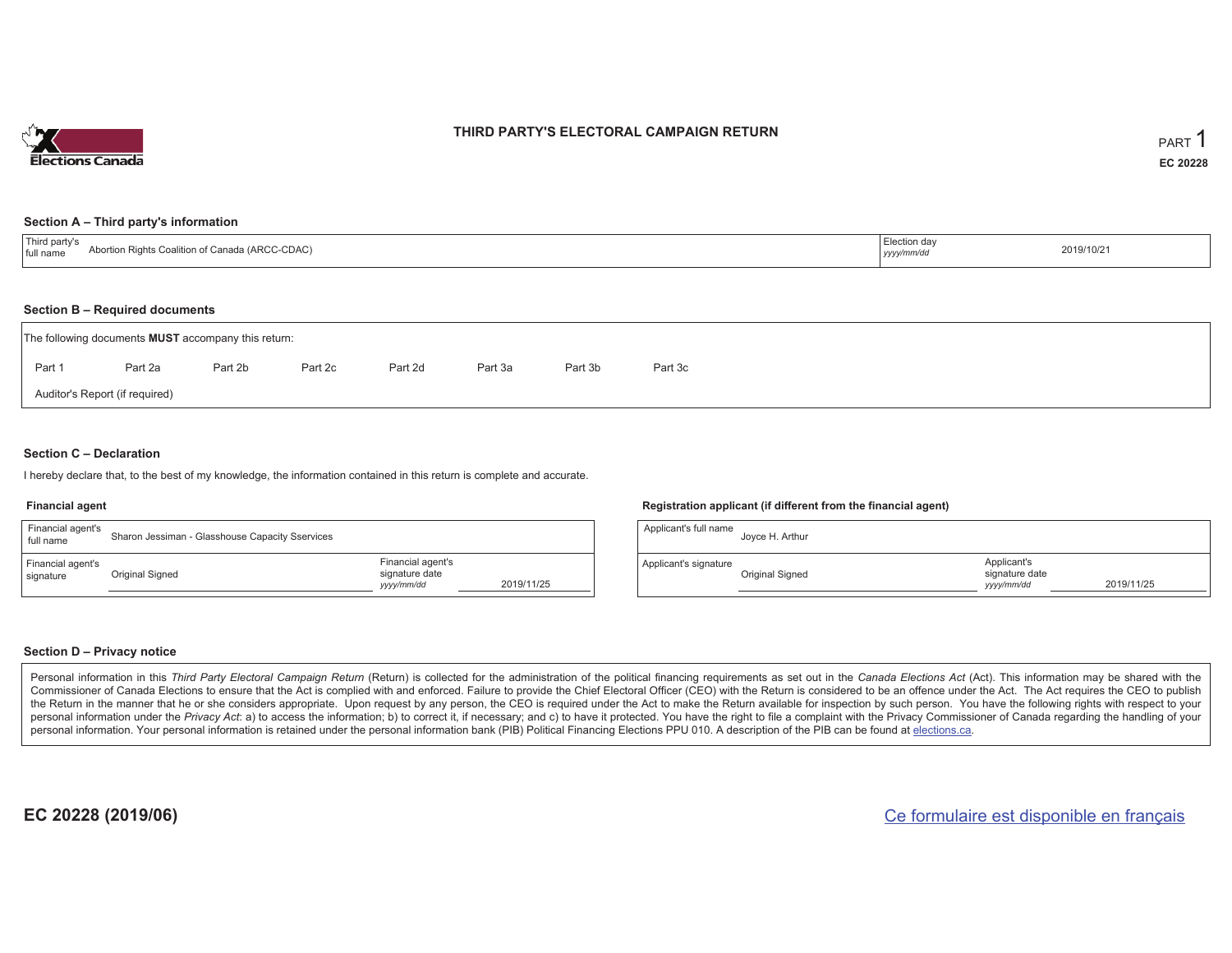

### **THIRD PARTY'S ELECTORAL CAMPAIGN RETURN**

#### **Section A – Third party's information**

| $\mathbf{r}$<br>ird party's<br>Abortion Rights Coalition of Canada (ARCC-CDAC)<br>full name | _.ಆction dav<br>yyyy/mm/dd | 2019/10/21 |
|---------------------------------------------------------------------------------------------|----------------------------|------------|
|---------------------------------------------------------------------------------------------|----------------------------|------------|

#### **Section B – Required documents**

| The following documents <b>MUST</b> accompany this return: |         |         |         |         |         |         |         |  |  |  |  |  |  |
|------------------------------------------------------------|---------|---------|---------|---------|---------|---------|---------|--|--|--|--|--|--|
| Part 1                                                     | Part 2a | Part 2b | Part 2c | Part 2d | Part 3a | Part 3b | Part 3c |  |  |  |  |  |  |
| Auditor's Report (if required)                             |         |         |         |         |         |         |         |  |  |  |  |  |  |

### **Section C – Declaration**

I hereby declare that, to the best of my knowledge, the information contained in this return is complete and accurate.

#### **Financial agent**

| Financial agent's<br>full name | Sharon Jessiman - Glasshouse Capacity Sservices |                                                  |            |
|--------------------------------|-------------------------------------------------|--------------------------------------------------|------------|
| Financial agent's<br>signature | Original Signed                                 | Financial agent's<br>signature date<br>yyy/mm/dd | 2019/11/25 |

#### **Registration applicant (if different from the financial agent)**

| Applicant's full name | Joyce H. Arthur |                                             |            |
|-----------------------|-----------------|---------------------------------------------|------------|
| Applicant's signature | Original Signed | Applicant's<br>signature date<br>yyyy/mm/dd | 2019/11/25 |

### **Section D – Privacy notice**

Personal information in this Third Party Electoral Campaign Return (Return) is collected for the administration of the political financing requirements as set out in the Canada Elections Act (Act). This information may be Commissioner of Canada Elections to ensure that the Act is complied with and enforced. Failure to provide the Chief Electoral Officer (CEO) with the Return is considered to be an offence under the Act. The Act requires the the Return in the manner that he or she considers appropriate. Upon request by any person, the CEO is required under the Act to make the Return available for inspection by such person. You have the following rights with re personal information under the Privacy Act: a) to access the information; b) to correct it, if necessary; and c) to have it protected. You have the right to file a complaint with the Privacy Commissioner of Canada regardin personal information. Your personal information is retained under the personal information bank (PIB) Political Financing Elections PPU 010. A description of the PIB can be found at elections.ca.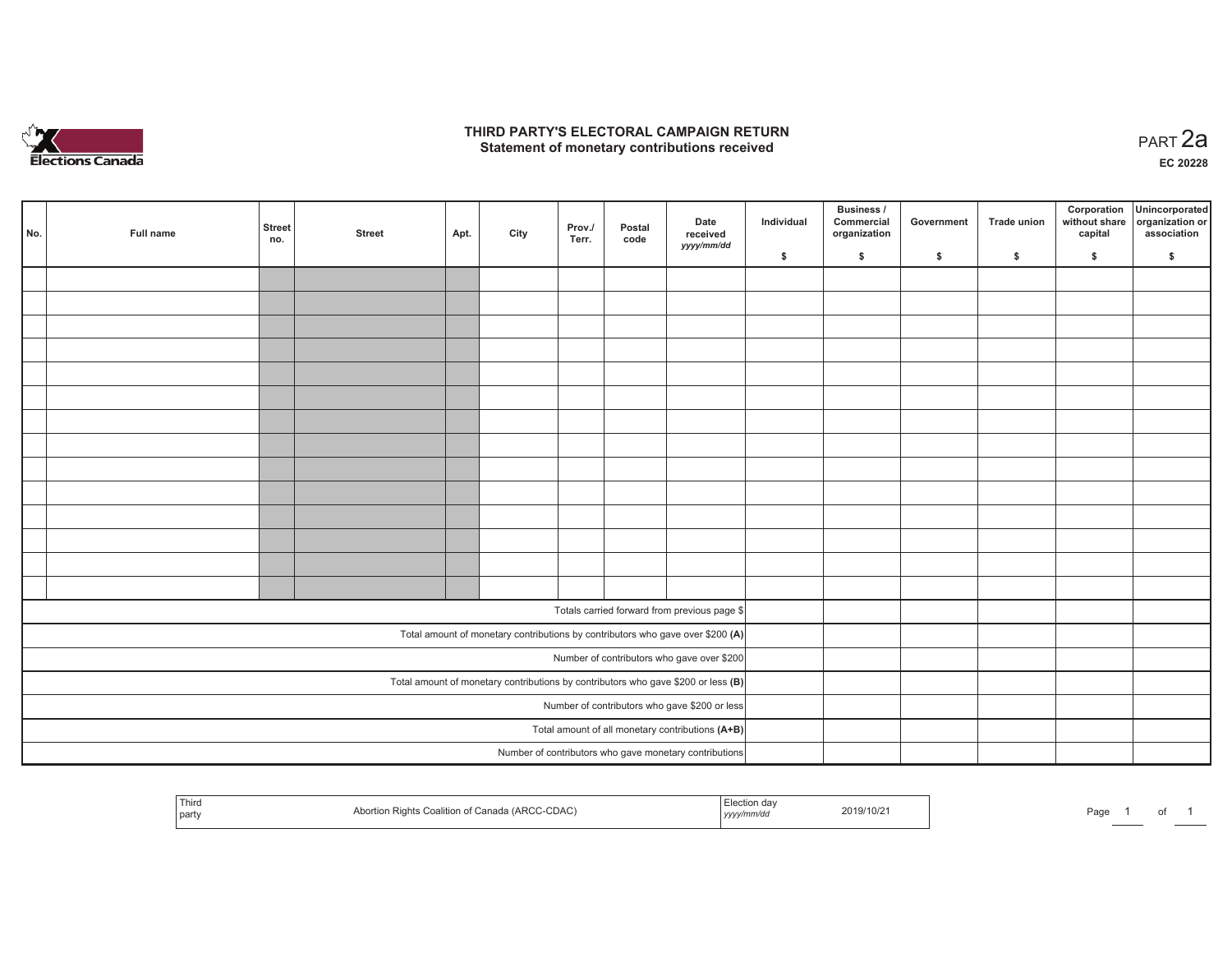

## **THIRD PARTY'S ELECTORAL CAMPAIGN RETURN HIRD PARTY'S ELECTORAL CAMPAIGN RETURN<br>Statement of monetary contributions received PART 2a**

**EC 20228**

| No. | Full name | <b>Street</b><br>no. | <b>Street</b> | Apt. | City | Prov./<br>Terr. | Postal<br>code | Date<br>received<br>yyyy/mm/dd                                                      | Individual | Business /<br>Commercial<br>organization | Government | Trade union | Corporation<br>without share<br>capital | Unincorporated<br>organization or<br>association |
|-----|-----------|----------------------|---------------|------|------|-----------------|----------------|-------------------------------------------------------------------------------------|------------|------------------------------------------|------------|-------------|-----------------------------------------|--------------------------------------------------|
|     |           |                      |               |      |      |                 |                |                                                                                     | \$         | \$                                       | \$         | \$          | \$                                      | \$                                               |
|     |           |                      |               |      |      |                 |                |                                                                                     |            |                                          |            |             |                                         |                                                  |
|     |           |                      |               |      |      |                 |                |                                                                                     |            |                                          |            |             |                                         |                                                  |
|     |           |                      |               |      |      |                 |                |                                                                                     |            |                                          |            |             |                                         |                                                  |
|     |           |                      |               |      |      |                 |                |                                                                                     |            |                                          |            |             |                                         |                                                  |
|     |           |                      |               |      |      |                 |                |                                                                                     |            |                                          |            |             |                                         |                                                  |
|     |           |                      |               |      |      |                 |                |                                                                                     |            |                                          |            |             |                                         |                                                  |
|     |           |                      |               |      |      |                 |                |                                                                                     |            |                                          |            |             |                                         |                                                  |
|     |           |                      |               |      |      |                 |                |                                                                                     |            |                                          |            |             |                                         |                                                  |
|     |           |                      |               |      |      |                 |                |                                                                                     |            |                                          |            |             |                                         |                                                  |
|     |           |                      |               |      |      |                 |                |                                                                                     |            |                                          |            |             |                                         |                                                  |
|     |           |                      |               |      |      |                 |                |                                                                                     |            |                                          |            |             |                                         |                                                  |
|     |           |                      |               |      |      |                 |                |                                                                                     |            |                                          |            |             |                                         |                                                  |
|     |           |                      |               |      |      |                 |                |                                                                                     |            |                                          |            |             |                                         |                                                  |
|     |           |                      |               |      |      |                 |                |                                                                                     |            |                                          |            |             |                                         |                                                  |
|     |           |                      |               |      |      |                 |                |                                                                                     |            |                                          |            |             |                                         |                                                  |
|     |           |                      |               |      |      |                 |                | Totals carried forward from previous page \$                                        |            |                                          |            |             |                                         |                                                  |
|     |           |                      |               |      |      |                 |                | Total amount of monetary contributions by contributors who gave over \$200 (A)      |            |                                          |            |             |                                         |                                                  |
|     |           |                      |               |      |      |                 |                | Number of contributors who gave over \$200                                          |            |                                          |            |             |                                         |                                                  |
|     |           |                      |               |      |      |                 |                | Total amount of monetary contributions by contributors who gave \$200 or less $(B)$ |            |                                          |            |             |                                         |                                                  |
|     |           |                      |               |      |      |                 |                | Number of contributors who gave \$200 or less                                       |            |                                          |            |             |                                         |                                                  |
|     |           |                      |               |      |      |                 |                | Total amount of all monetary contributions (A+B)                                    |            |                                          |            |             |                                         |                                                  |
|     |           |                      |               |      |      |                 |                | Number of contributors who gave monetary contributions                              |            |                                          |            |             |                                         |                                                  |
|     |           |                      |               |      |      |                 |                |                                                                                     |            |                                          |            |             |                                         |                                                  |

| l Third<br>Coalition of<br>t∷anad<br>JA U<br><b>party</b> | 2019/10/2<br>,,,,, | Paq∈ |
|-----------------------------------------------------------|--------------------|------|
|-----------------------------------------------------------|--------------------|------|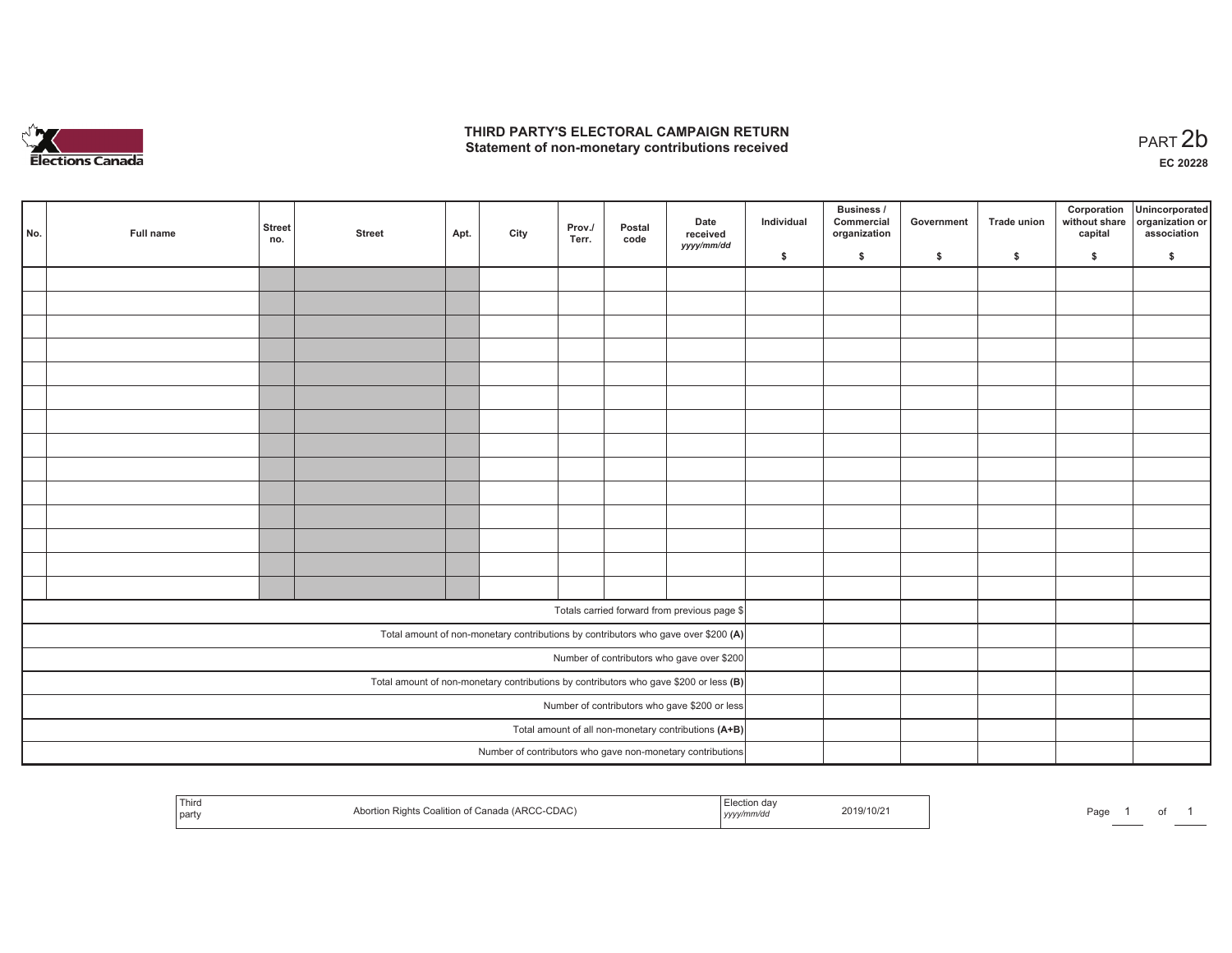

## **THIRD PARTY'S ELECTORAL CAMPAIGN RETURN**  THIRD PARTY'S ELECTORAL CAMPAIGN RETURN<br>Statement of non-monetary contributions received<br> **PART 2b**

| No. | Full name | <b>Street</b><br>no. | <b>Street</b> | Apt. | City | Prov./<br>Terr. | Postal<br>code | Date<br>received<br>yyyy/mm/dd                                                          | Individual | <b>Business /</b><br>Commercial<br>organization | Government | Trade union | Corporation<br>capital | Unincorporated<br>without share organization or<br>association |
|-----|-----------|----------------------|---------------|------|------|-----------------|----------------|-----------------------------------------------------------------------------------------|------------|-------------------------------------------------|------------|-------------|------------------------|----------------------------------------------------------------|
|     |           |                      |               |      |      |                 |                |                                                                                         | \$         | \$                                              | \$         | \$          | \$                     | \$                                                             |
|     |           |                      |               |      |      |                 |                |                                                                                         |            |                                                 |            |             |                        |                                                                |
|     |           |                      |               |      |      |                 |                |                                                                                         |            |                                                 |            |             |                        |                                                                |
|     |           |                      |               |      |      |                 |                |                                                                                         |            |                                                 |            |             |                        |                                                                |
|     |           |                      |               |      |      |                 |                |                                                                                         |            |                                                 |            |             |                        |                                                                |
|     |           |                      |               |      |      |                 |                |                                                                                         |            |                                                 |            |             |                        |                                                                |
|     |           |                      |               |      |      |                 |                |                                                                                         |            |                                                 |            |             |                        |                                                                |
|     |           |                      |               |      |      |                 |                |                                                                                         |            |                                                 |            |             |                        |                                                                |
|     |           |                      |               |      |      |                 |                |                                                                                         |            |                                                 |            |             |                        |                                                                |
|     |           |                      |               |      |      |                 |                |                                                                                         |            |                                                 |            |             |                        |                                                                |
|     |           |                      |               |      |      |                 |                |                                                                                         |            |                                                 |            |             |                        |                                                                |
|     |           |                      |               |      |      |                 |                |                                                                                         |            |                                                 |            |             |                        |                                                                |
|     |           |                      |               |      |      |                 |                |                                                                                         |            |                                                 |            |             |                        |                                                                |
|     |           |                      |               |      |      |                 |                |                                                                                         |            |                                                 |            |             |                        |                                                                |
|     |           |                      |               |      |      |                 |                |                                                                                         |            |                                                 |            |             |                        |                                                                |
|     |           |                      |               |      |      |                 |                | Totals carried forward from previous page \$                                            |            |                                                 |            |             |                        |                                                                |
|     |           |                      |               |      |      |                 |                |                                                                                         |            |                                                 |            |             |                        |                                                                |
|     |           |                      |               |      |      |                 |                | Total amount of non-monetary contributions by contributors who gave over \$200 (A)      |            |                                                 |            |             |                        |                                                                |
|     |           |                      |               |      |      |                 |                | Number of contributors who gave over \$200                                              |            |                                                 |            |             |                        |                                                                |
|     |           |                      |               |      |      |                 |                | Total amount of non-monetary contributions by contributors who gave \$200 or less $(B)$ |            |                                                 |            |             |                        |                                                                |
|     |           |                      |               |      |      |                 |                | Number of contributors who gave \$200 or less                                           |            |                                                 |            |             |                        |                                                                |
|     |           |                      |               |      |      |                 |                | Total amount of all non-monetary contributions (A+B)                                    |            |                                                 |            |             |                        |                                                                |
|     |           |                      |               |      |      |                 |                | Number of contributors who gave non-monetary contributions                              |            |                                                 |            |             |                        |                                                                |

| Third<br>Canada (ARCC-CDAC)<br>$.019/10/2^3$<br>. Coalitior<br>.<br>party<br>, уууулг | Page |
|---------------------------------------------------------------------------------------|------|
|---------------------------------------------------------------------------------------|------|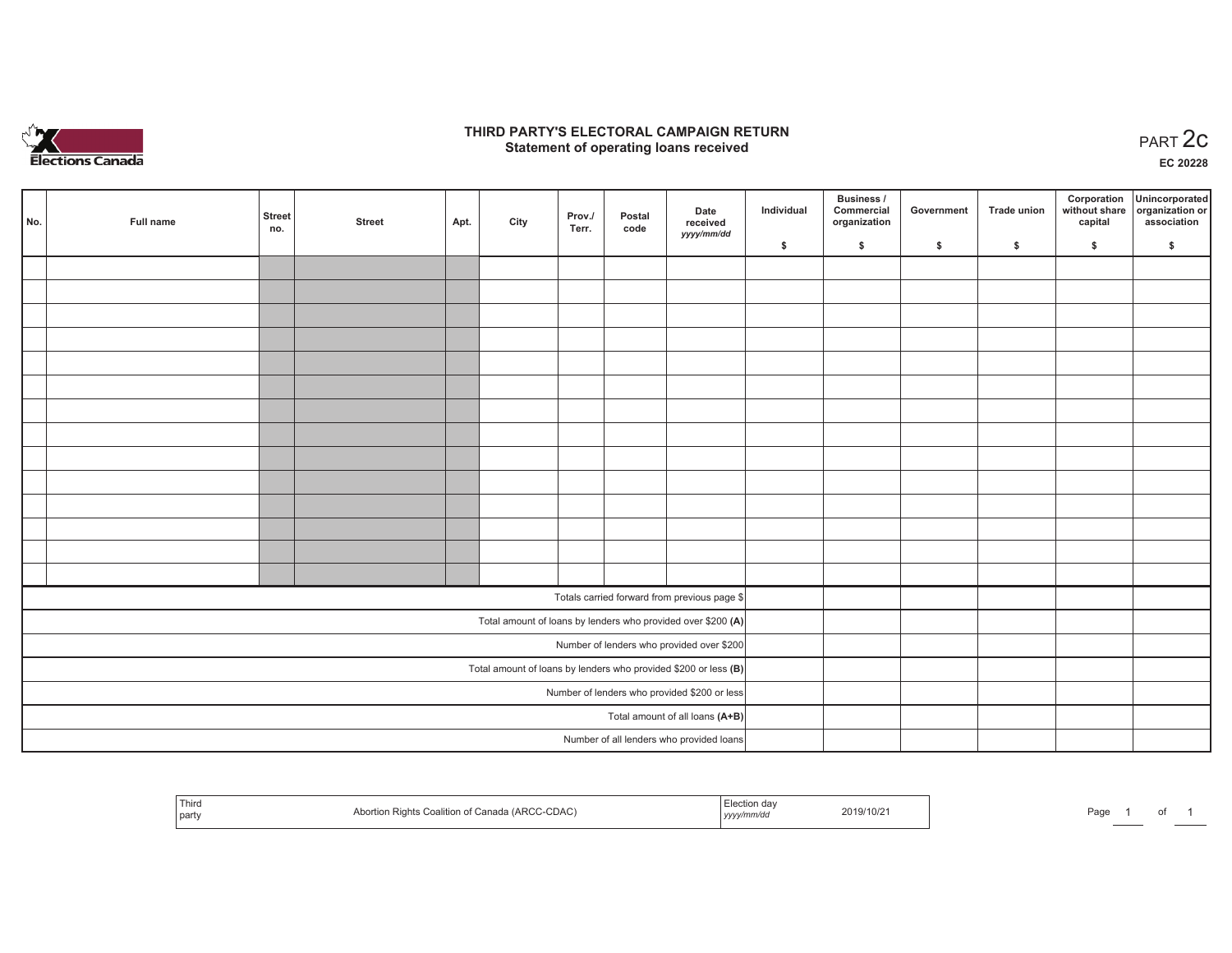

## **THIRD PARTY'S ELECTORAL CAMPAIGN RETURN STATE:** PARTY'S ELECTORAL CAMPAIGN RETURN<br>
Statement of operating loans received

**EC 20228**

| No. | Full name | <b>Street</b><br>no. | <b>Street</b> | Apt. | City | Prov./<br>Terr. | Postal<br>code | Date<br>received<br>yyyy/mm/dd                                  | Individual | <b>Business /</b><br>Commercial<br>organization | Government | <b>Trade union</b> | Corporation<br>capital | Unincorporated<br>without share organization or<br>association |
|-----|-----------|----------------------|---------------|------|------|-----------------|----------------|-----------------------------------------------------------------|------------|-------------------------------------------------|------------|--------------------|------------------------|----------------------------------------------------------------|
|     |           |                      |               |      |      |                 |                |                                                                 | \$         | \$                                              | \$         | \$                 | \$                     | \$                                                             |
|     |           |                      |               |      |      |                 |                |                                                                 |            |                                                 |            |                    |                        |                                                                |
|     |           |                      |               |      |      |                 |                |                                                                 |            |                                                 |            |                    |                        |                                                                |
|     |           |                      |               |      |      |                 |                |                                                                 |            |                                                 |            |                    |                        |                                                                |
|     |           |                      |               |      |      |                 |                |                                                                 |            |                                                 |            |                    |                        |                                                                |
|     |           |                      |               |      |      |                 |                |                                                                 |            |                                                 |            |                    |                        |                                                                |
|     |           |                      |               |      |      |                 |                |                                                                 |            |                                                 |            |                    |                        |                                                                |
|     |           |                      |               |      |      |                 |                |                                                                 |            |                                                 |            |                    |                        |                                                                |
|     |           |                      |               |      |      |                 |                |                                                                 |            |                                                 |            |                    |                        |                                                                |
|     |           |                      |               |      |      |                 |                |                                                                 |            |                                                 |            |                    |                        |                                                                |
|     |           |                      |               |      |      |                 |                |                                                                 |            |                                                 |            |                    |                        |                                                                |
|     |           |                      |               |      |      |                 |                |                                                                 |            |                                                 |            |                    |                        |                                                                |
|     |           |                      |               |      |      |                 |                |                                                                 |            |                                                 |            |                    |                        |                                                                |
|     |           |                      |               |      |      |                 |                |                                                                 |            |                                                 |            |                    |                        |                                                                |
|     |           |                      |               |      |      |                 |                |                                                                 |            |                                                 |            |                    |                        |                                                                |
|     |           |                      |               |      |      |                 |                | Totals carried forward from previous page \$                    |            |                                                 |            |                    |                        |                                                                |
|     |           |                      |               |      |      |                 |                | Total amount of loans by lenders who provided over \$200 (A)    |            |                                                 |            |                    |                        |                                                                |
|     |           |                      |               |      |      |                 |                | Number of lenders who provided over \$200                       |            |                                                 |            |                    |                        |                                                                |
|     |           |                      |               |      |      |                 |                | Total amount of loans by lenders who provided \$200 or less (B) |            |                                                 |            |                    |                        |                                                                |
|     |           |                      |               |      |      |                 |                | Number of lenders who provided \$200 or less                    |            |                                                 |            |                    |                        |                                                                |
|     |           |                      |               |      |      |                 |                | Total amount of all loans (A+B)                                 |            |                                                 |            |                    |                        |                                                                |
|     |           |                      |               |      |      |                 |                | Number of all lenders who provided loans                        |            |                                                 |            |                    |                        |                                                                |

| i ulto<br>Abor <sup>+</sup><br>part | n Rights Coalition of Canada (ARCC-CDAC) | Election da<br>yyyy/mm/dd | 2019/10/21 | Page |  |  |  |
|-------------------------------------|------------------------------------------|---------------------------|------------|------|--|--|--|
|-------------------------------------|------------------------------------------|---------------------------|------------|------|--|--|--|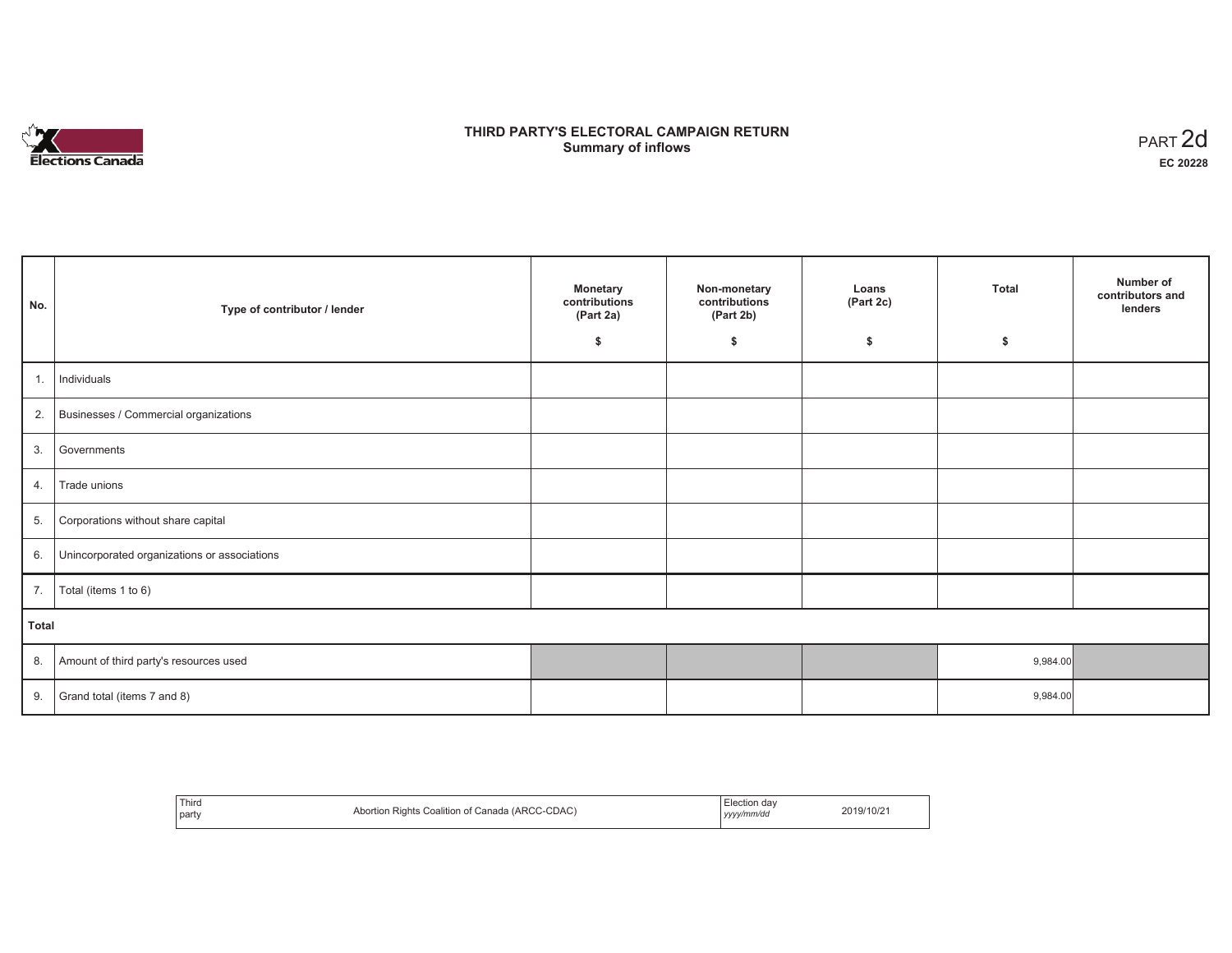

# **THIRD PARTY'S ELECTORAL CAMPAIGN RETURN S** ELECTORAL CAMPAIGN RETURN<br>Summary of inflows PART 2d

| No.   | Type of contributor / lender                 | <b>Monetary</b><br>contributions<br>(Part 2a)<br>\$ | Non-monetary<br>contributions<br>(Part 2b)<br>\$ | Loans<br>(Part 2c)<br>\$ | <b>Total</b><br>\$ | Number of<br>contributors and<br>lenders |  |  |
|-------|----------------------------------------------|-----------------------------------------------------|--------------------------------------------------|--------------------------|--------------------|------------------------------------------|--|--|
|       |                                              |                                                     |                                                  |                          |                    |                                          |  |  |
| 1.    | Individuals                                  |                                                     |                                                  |                          |                    |                                          |  |  |
|       | 2. Businesses / Commercial organizations     |                                                     |                                                  |                          |                    |                                          |  |  |
| 3.    | Governments                                  |                                                     |                                                  |                          |                    |                                          |  |  |
| 4.    | Trade unions                                 |                                                     |                                                  |                          |                    |                                          |  |  |
| 5.    | Corporations without share capital           |                                                     |                                                  |                          |                    |                                          |  |  |
| 6.    | Unincorporated organizations or associations |                                                     |                                                  |                          |                    |                                          |  |  |
| 7.    | Total (items 1 to 6)                         |                                                     |                                                  |                          |                    |                                          |  |  |
| Total |                                              |                                                     |                                                  |                          |                    |                                          |  |  |
| 8.    | Amount of third party's resources used       |                                                     |                                                  |                          | 9,984.00           |                                          |  |  |
| 9.    | Grand total (items 7 and 8)                  |                                                     |                                                  |                          | 9,984.00           |                                          |  |  |

| Third<br>party | Abortion Rights Coalition of Canada (ARCC-CDAC) | Election dav<br>yyyy/mm/dd | 2019/10/21 |
|----------------|-------------------------------------------------|----------------------------|------------|
|----------------|-------------------------------------------------|----------------------------|------------|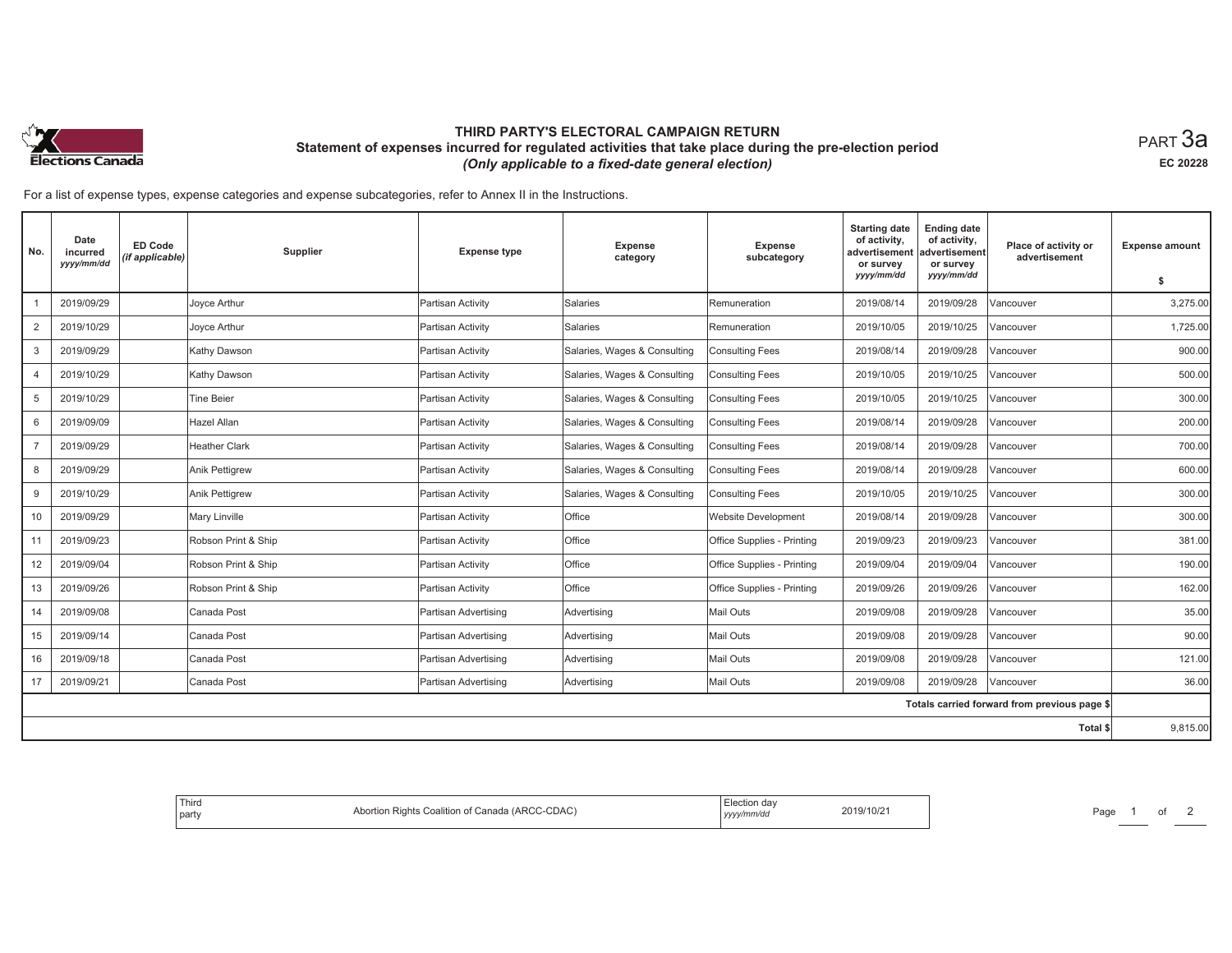

## **THIRD PARTY'S ELECTORAL CAMPAIGN RETURN Statement of expenses incurred for regulated activities that take place during the pre-election period**  *(Only applicable to a fixed-date general election)*

 $_{\sf PART}$ 3a **EC 20228**

For a list of expense types, expense categories and expense subcategories, refer to Annex II in the Instructions.

| No.            | Date<br>incurred<br>yyyy/mm/dd | <b>ED Code</b><br>(if applicable) | <b>Supplier</b>       | <b>Expense type</b>  | <b>Expense</b><br>category   | Expense<br>subcategory     | <b>Starting date</b><br>of activity,<br>advertisement<br>or survey<br>yyyy/mm/dd | <b>Ending date</b><br>of activity,<br>advertisement<br>or survey<br>yyyy/mm/dd | Place of activity or<br>advertisement        | <b>Expense amount</b><br>\$ |
|----------------|--------------------------------|-----------------------------------|-----------------------|----------------------|------------------------------|----------------------------|----------------------------------------------------------------------------------|--------------------------------------------------------------------------------|----------------------------------------------|-----------------------------|
|                | 2019/09/29                     |                                   | Joyce Arthur          | Partisan Activity    | <b>Salaries</b>              | Remuneration               | 2019/08/14                                                                       | 2019/09/28                                                                     | Vancouver                                    | 3,275.00                    |
| 2              | 2019/10/29                     |                                   | Joyce Arthur          | Partisan Activity    | Salaries                     | Remuneration               | 2019/10/05                                                                       | 2019/10/25                                                                     | Vancouver                                    | 1,725.00                    |
| 3              | 2019/09/29                     |                                   | Kathy Dawson          | Partisan Activity    | Salaries, Wages & Consulting | <b>Consulting Fees</b>     | 2019/08/14                                                                       | 2019/09/28                                                                     | Vancouver                                    | 900.00                      |
| 4              | 2019/10/29                     |                                   | Kathy Dawson          | Partisan Activity    | Salaries, Wages & Consulting | <b>Consulting Fees</b>     | 2019/10/05                                                                       | 2019/10/25                                                                     | Vancouver                                    | 500.00                      |
| 5              | 2019/10/29                     |                                   | <b>Tine Beier</b>     | Partisan Activity    | Salaries, Wages & Consulting | <b>Consulting Fees</b>     | 2019/10/05                                                                       | 2019/10/25                                                                     | Vancouver                                    | 300.00                      |
| 6              | 2019/09/09                     |                                   | Hazel Allan           | Partisan Activity    | Salaries, Wages & Consulting | <b>Consulting Fees</b>     | 2019/08/14                                                                       | 2019/09/28                                                                     | Vancouver                                    | 200.00                      |
| $\overline{7}$ | 2019/09/29                     |                                   | <b>Heather Clark</b>  | Partisan Activity    | Salaries, Wages & Consulting | <b>Consulting Fees</b>     | 2019/08/14                                                                       | 2019/09/28                                                                     | Vancouver                                    | 700.00                      |
| 8              | 2019/09/29                     |                                   | <b>Anik Pettigrew</b> | Partisan Activity    | Salaries, Wages & Consulting | <b>Consulting Fees</b>     | 2019/08/14                                                                       | 2019/09/28                                                                     | Vancouver                                    | 600.00                      |
| 9              | 2019/10/29                     |                                   | <b>Anik Pettigrew</b> | Partisan Activity    | Salaries, Wages & Consulting | <b>Consulting Fees</b>     | 2019/10/05                                                                       | 2019/10/25                                                                     | Vancouver                                    | 300.00                      |
| 10             | 2019/09/29                     |                                   | <b>Mary Linville</b>  | Partisan Activity    | Office                       | <b>Website Development</b> | 2019/08/14                                                                       | 2019/09/28                                                                     | Vancouver                                    | 300.00                      |
| 11             | 2019/09/23                     |                                   | Robson Print & Ship   | Partisan Activity    | Office                       | Office Supplies - Printing | 2019/09/23                                                                       | 2019/09/23                                                                     | Vancouver                                    | 381.00                      |
| 12             | 2019/09/04                     |                                   | Robson Print & Ship   | Partisan Activity    | Office                       | Office Supplies - Printing | 2019/09/04                                                                       | 2019/09/04                                                                     | Vancouver                                    | 190.00                      |
| 13             | 2019/09/26                     |                                   | Robson Print & Ship   | Partisan Activity    | Office                       | Office Supplies - Printing | 2019/09/26                                                                       | 2019/09/26                                                                     | Vancouver                                    | 162.00                      |
| 14             | 2019/09/08                     |                                   | Canada Post           | Partisan Advertising | Advertising                  | <b>Mail Outs</b>           | 2019/09/08                                                                       | 2019/09/28                                                                     | Vancouver                                    | 35.00                       |
| 15             | 2019/09/14                     |                                   | Canada Post           | Partisan Advertising | Advertising                  | <b>Mail Outs</b>           | 2019/09/08                                                                       | 2019/09/28                                                                     | Vancouver                                    | 90.00                       |
| 16             | 2019/09/18                     |                                   | Canada Post           | Partisan Advertising | Advertising                  | Mail Outs                  | 2019/09/08                                                                       | 2019/09/28                                                                     | Vancouver                                    | 121.00                      |
| 17             | 2019/09/21                     |                                   | Canada Post           | Partisan Advertising | Advertising                  | Mail Outs                  | 2019/09/08                                                                       | 2019/09/28                                                                     | Vancouver                                    | 36.00                       |
|                |                                |                                   |                       |                      |                              |                            |                                                                                  |                                                                                | Totals carried forward from previous page \$ |                             |
|                |                                |                                   |                       |                      |                              |                            |                                                                                  |                                                                                | Total \$                                     | 9,815.00                    |

| <sup>!</sup> Third<br>Canada (ARCC-CDAC)<br>Rights Coalition of C<br>party | lection dav.<br>2019/10/21<br>  yyyymmua<br>$\sim$ $\sim$ | Page |
|----------------------------------------------------------------------------|-----------------------------------------------------------|------|
|----------------------------------------------------------------------------|-----------------------------------------------------------|------|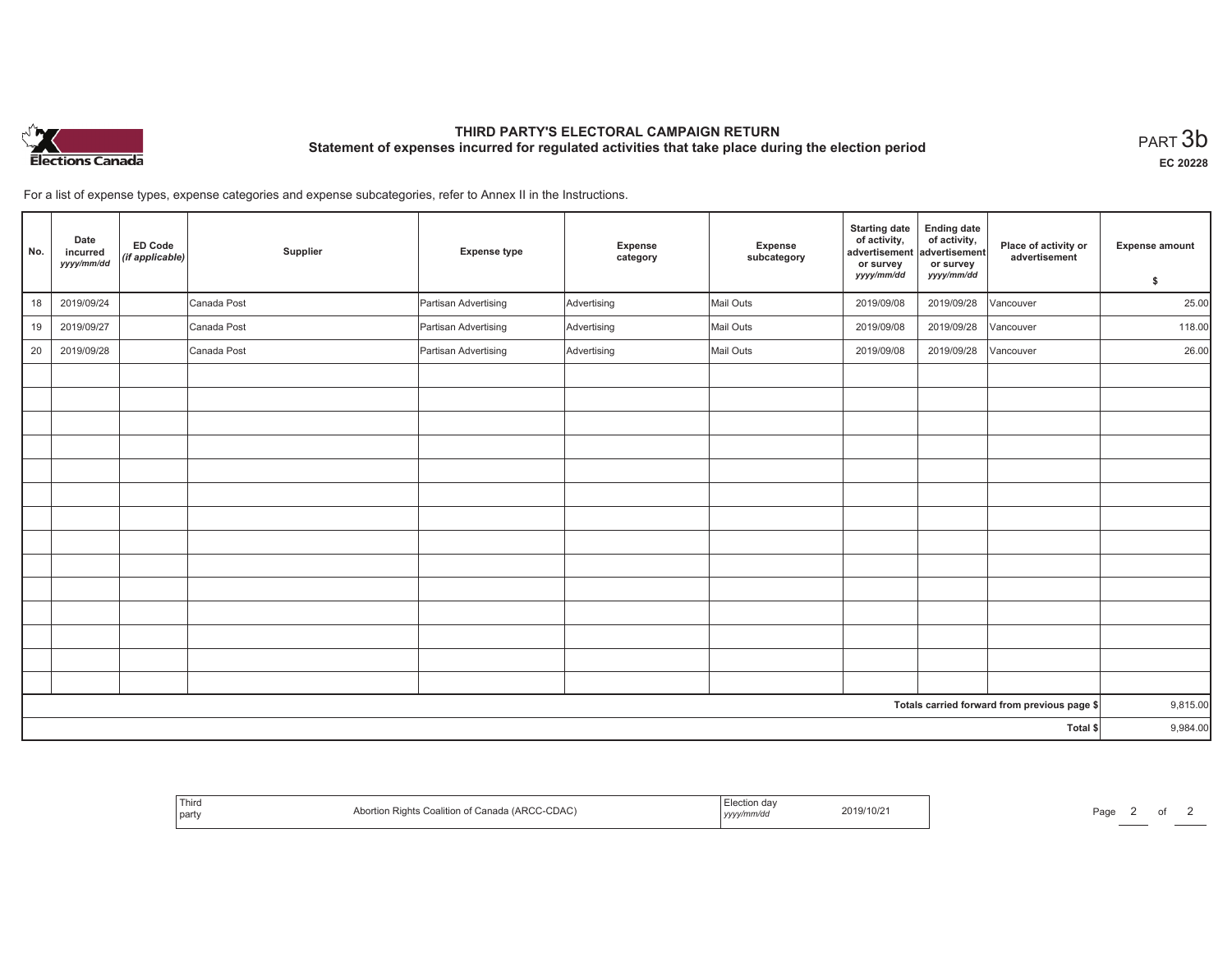

# **THIRD PARTY'S ELECTORAL CAMPAIGN RETURN Statement of expenses incurred for regulated activities that take place during the election period**<br>PART  $3\mathsf{b}$

**EC 20228**

For a list of expense types, expense categories and expense subcategories, refer to Annex II in the Instructions.

| No. | Date<br>incurred<br>yyyy/mm/dd | <b>ED Code</b><br>(if applicable) | Supplier    | <b>Expense type</b>  | Expense<br>category | Expense<br>subcategory | <b>Starting date</b><br>of activity,<br>advertisement<br>or survey<br>yyyy/mm/dd | <b>Ending date</b><br>of activity,<br>advertisement<br>or survey<br>yyyy/mm/dd | Place of activity or<br>advertisement        | <b>Expense amount</b> |
|-----|--------------------------------|-----------------------------------|-------------|----------------------|---------------------|------------------------|----------------------------------------------------------------------------------|--------------------------------------------------------------------------------|----------------------------------------------|-----------------------|
|     |                                |                                   |             |                      |                     |                        |                                                                                  |                                                                                |                                              | \$                    |
| 18  | 2019/09/24                     |                                   | Canada Post | Partisan Advertising | Advertising         | Mail Outs              | 2019/09/08                                                                       | 2019/09/28                                                                     | Vancouver                                    | 25.00                 |
| 19  | 2019/09/27                     |                                   | Canada Post | Partisan Advertising | Advertising         | Mail Outs              | 2019/09/08                                                                       | 2019/09/28                                                                     | Vancouver                                    | 118.00                |
| 20  | 2019/09/28                     |                                   | Canada Post | Partisan Advertising | Advertising         | Mail Outs              | 2019/09/08                                                                       | 2019/09/28                                                                     | Vancouver                                    | 26.00                 |
|     |                                |                                   |             |                      |                     |                        |                                                                                  |                                                                                |                                              |                       |
|     |                                |                                   |             |                      |                     |                        |                                                                                  |                                                                                |                                              |                       |
|     |                                |                                   |             |                      |                     |                        |                                                                                  |                                                                                |                                              |                       |
|     |                                |                                   |             |                      |                     |                        |                                                                                  |                                                                                |                                              |                       |
|     |                                |                                   |             |                      |                     |                        |                                                                                  |                                                                                |                                              |                       |
|     |                                |                                   |             |                      |                     |                        |                                                                                  |                                                                                |                                              |                       |
|     |                                |                                   |             |                      |                     |                        |                                                                                  |                                                                                |                                              |                       |
|     |                                |                                   |             |                      |                     |                        |                                                                                  |                                                                                |                                              |                       |
|     |                                |                                   |             |                      |                     |                        |                                                                                  |                                                                                |                                              |                       |
|     |                                |                                   |             |                      |                     |                        |                                                                                  |                                                                                |                                              |                       |
|     |                                |                                   |             |                      |                     |                        |                                                                                  |                                                                                |                                              |                       |
|     |                                |                                   |             |                      |                     |                        |                                                                                  |                                                                                |                                              |                       |
|     |                                |                                   |             |                      |                     |                        |                                                                                  |                                                                                |                                              |                       |
|     |                                |                                   |             |                      |                     |                        |                                                                                  |                                                                                |                                              |                       |
|     |                                |                                   |             |                      |                     |                        |                                                                                  |                                                                                | Totals carried forward from previous page \$ | 9,815.00              |
|     |                                |                                   |             |                      |                     |                        |                                                                                  |                                                                                | Total \$                                     | 9,984.00              |

| Third<br>Abortion Rights Coalition of Canada (ARCC-CDAC)<br>  party | Election day<br>2019/10/21<br>yyyy/mm/dd | Page |  |
|---------------------------------------------------------------------|------------------------------------------|------|--|
|---------------------------------------------------------------------|------------------------------------------|------|--|